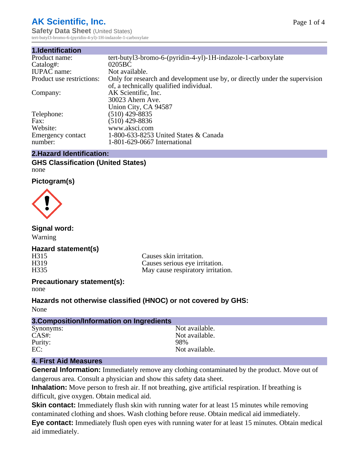# **AK Scientific, Inc.**

**Safety Data Sheet** (United States) tert-butyl3-bromo-6-(pyridin-4-yl)-1H-indazole-1-carboxylate

| 1.Identification          |                                                                             |
|---------------------------|-----------------------------------------------------------------------------|
| Product name:             | tert-butyl3-bromo-6-(pyridin-4-yl)-1H-indazole-1-carboxylate                |
| Catalog#:                 | 0205 <sub>BC</sub>                                                          |
| <b>IUPAC</b> name:        | Not available.                                                              |
| Product use restrictions: | Only for research and development use by, or directly under the supervision |
|                           | of, a technically qualified individual.                                     |
| Company:                  | AK Scientific, Inc.                                                         |
|                           | 30023 Ahern Ave.                                                            |
|                           | Union City, CA 94587                                                        |
| Telephone:                | $(510)$ 429-8835                                                            |
| Fax:                      | $(510)$ 429-8836                                                            |
| Website:                  | www.aksci.com                                                               |
| Emergency contact         | 1-800-633-8253 United States & Canada                                       |
| number:                   | 1-801-629-0667 International                                                |

#### **2.Hazard Identification:**

#### **GHS Classification (United States)** none

#### **Pictogram(s)**



#### **Signal word:**

Warning

#### **Hazard statement(s)**

H315 Causes skin irritation.<br>
H319 Causes serious eve irri H319 Causes serious eye irritation.<br>H335 May cause respiratory irritation. May cause respiratory irritation.

#### **Precautionary statement(s):**

none

#### **Hazards not otherwise classified (HNOC) or not covered by GHS:**

None

| 3. Composition/Information on Ingredients |                |
|-------------------------------------------|----------------|
| Synonyms:                                 | Not available. |
| $CAS#$ :                                  | Not available. |
| Purity:                                   | 98%            |
| EC:                                       | Not available. |

#### **4. First Aid Measures**

**General Information:** Immediately remove any clothing contaminated by the product. Move out of dangerous area. Consult a physician and show this safety data sheet.

**Inhalation:** Move person to fresh air. If not breathing, give artificial respiration. If breathing is difficult, give oxygen. Obtain medical aid.

**Skin contact:** Immediately flush skin with running water for at least 15 minutes while removing contaminated clothing and shoes. Wash clothing before reuse. Obtain medical aid immediately.

**Eye contact:** Immediately flush open eyes with running water for at least 15 minutes. Obtain medical aid immediately.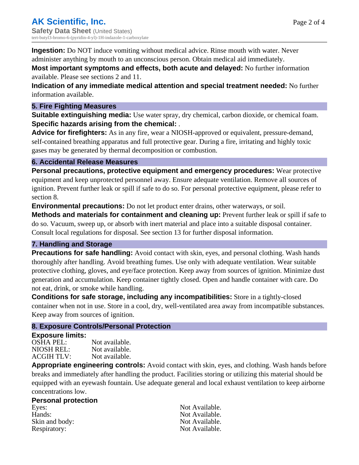**Ingestion:** Do NOT induce vomiting without medical advice. Rinse mouth with water. Never administer anything by mouth to an unconscious person. Obtain medical aid immediately.

**Most important symptoms and effects, both acute and delayed:** No further information available. Please see sections 2 and 11.

**Indication of any immediate medical attention and special treatment needed:** No further information available.

#### **5. Fire Fighting Measures**

**Suitable extinguishing media:** Use water spray, dry chemical, carbon dioxide, or chemical foam. **Specific hazards arising from the chemical:** .

**Advice for firefighters:** As in any fire, wear a NIOSH-approved or equivalent, pressure-demand, self-contained breathing apparatus and full protective gear. During a fire, irritating and highly toxic gases may be generated by thermal decomposition or combustion.

#### **6. Accidental Release Measures**

**Personal precautions, protective equipment and emergency procedures:** Wear protective equipment and keep unprotected personnel away. Ensure adequate ventilation. Remove all sources of ignition. Prevent further leak or spill if safe to do so. For personal protective equipment, please refer to section 8.

**Environmental precautions:** Do not let product enter drains, other waterways, or soil.

**Methods and materials for containment and cleaning up:** Prevent further leak or spill if safe to do so. Vacuum, sweep up, or absorb with inert material and place into a suitable disposal container. Consult local regulations for disposal. See section 13 for further disposal information.

#### **7. Handling and Storage**

**Precautions for safe handling:** Avoid contact with skin, eyes, and personal clothing. Wash hands thoroughly after handling. Avoid breathing fumes. Use only with adequate ventilation. Wear suitable protective clothing, gloves, and eye/face protection. Keep away from sources of ignition. Minimize dust generation and accumulation. Keep container tightly closed. Open and handle container with care. Do not eat, drink, or smoke while handling.

**Conditions for safe storage, including any incompatibilities:** Store in a tightly-closed container when not in use. Store in a cool, dry, well-ventilated area away from incompatible substances. Keep away from sources of ignition.

#### **8. Exposure Controls/Personal Protection**

#### **Exposure limits:**

| OSHA PEL:  | Not available. |
|------------|----------------|
| NIOSH REL: | Not available. |
| ACGIH TLV: | Not available. |

**Appropriate engineering controls:** Avoid contact with skin, eyes, and clothing. Wash hands before breaks and immediately after handling the product. Facilities storing or utilizing this material should be equipped with an eyewash fountain. Use adequate general and local exhaust ventilation to keep airborne concentrations low.

#### **Personal protection**

Eyes: Not Available. Hands: Not Available. Skin and body: Not Available. Respiratory: Not Available.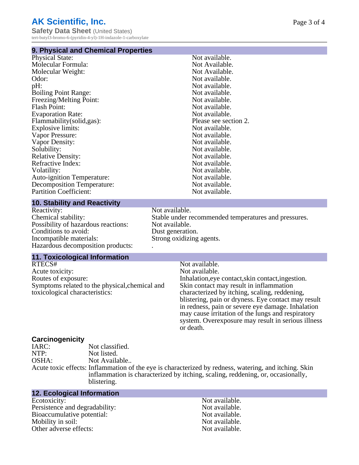# **AK Scientific, Inc.**

**Safety Data Sheet** (United States) tert-butyl3-bromo-6-(pyridin-4-yl)-1H-indazole-1-carboxylate

#### **9. Physical and Chemical Properties**

| Not available.        |
|-----------------------|
| Not Available.        |
| Not Available.        |
| Not available.        |
| Not available.        |
| Not available.        |
| Not available.        |
| Not available.        |
| Not available.        |
| Please see section 2. |
| Not available.        |
| Not available.        |
| Not available.        |
| Not available.        |
| Not available.        |
| Not available.        |
| Not available.        |
| Not available.        |
| Not available.        |
| Not available.        |
|                       |

#### **10. Stability and Reactivity**

Reactivity: Not available.<br>Chemical stability: Stable under re Possibility of hazardous reactions: Not available. Conditions to avoid: Dust generation.<br>
Incompatible materials: Strong oxidizing Hazardous decomposition products: .

#### **11. Toxicological Information**

RTECS# Not available.<br>Acute toxicity: Not available.<br>Not available. Acute toxicity:<br>Routes of exposure: Symptoms related to the physical,chemical and toxicological characteristics:

Stable under recommended temperatures and pressures. Strong oxidizing agents.

Inhalation, eye contact, skin contact, ingestion. Skin contact may result in inflammation characterized by itching, scaling, reddening, blistering, pain or dryness. Eye contact may result in redness, pain or severe eye damage. Inhalation may cause irritation of the lungs and respiratory system. Overexposure may result in serious illness or death.

# **Carcinogenicity**

Not classified. NTP: Not listed. OSHA: Not Available.. Acute toxic effects: Inflammation of the eye is characterized by redness, watering, and itching. Skin inflammation is characterized by itching, scaling, reddening, or, occasionally,

blistering. **12. Ecological Information**

#### Ecotoxicity: Not available.<br>
Not available.<br>
Not available.<br>
Not available. Persistence and degradability:<br>
Bioaccumulative potential:<br>
Not available.<br>
Not available. Bioaccumulative potential: Mobility in soil:<br>
Other adverse effects:<br>
Other adverse effects:<br>  $\begin{array}{ccc}\n\bullet & \bullet & \bullet \\
\bullet & \bullet & \bullet \\
\bullet & \bullet & \bullet\n\end{array}$ Other adverse effects: